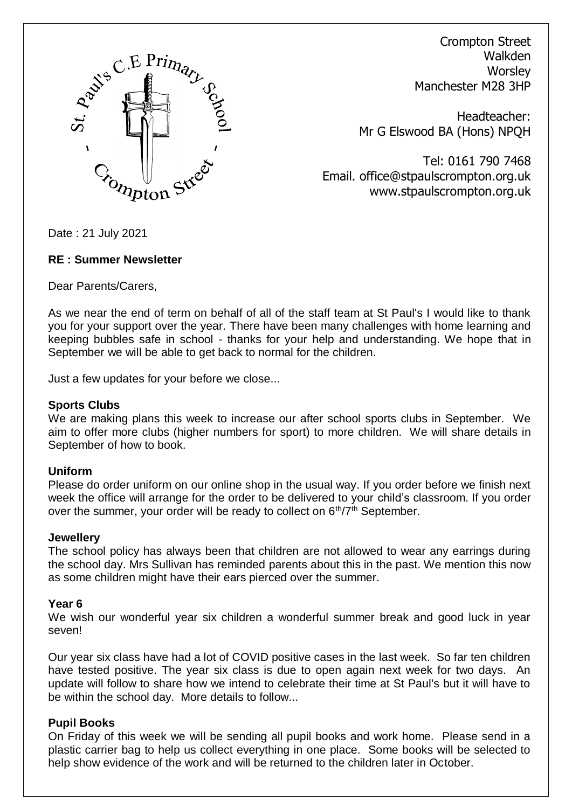

Crompton Street Walkden **Worsley** Manchester M28 3HP

Headteacher: Mr G Elswood BA (Hons) NPQH

Tel: 0161 790 7468 Email. office@stpaulscrompton.org.uk www.stpaulscrompton.org.uk

Date : 21 July 2021

#### **RE : Summer Newsletter**

Dear Parents/Carers,

As we near the end of term on behalf of all of the staff team at St Paul's I would like to thank you for your support over the year. There have been many challenges with home learning and keeping bubbles safe in school - thanks for your help and understanding. We hope that in September we will be able to get back to normal for the children.

Just a few updates for your before we close...

#### **Sports Clubs**

We are making plans this week to increase our after school sports clubs in September. We aim to offer more clubs (higher numbers for sport) to more children. We will share details in September of how to book.

## **Uniform**

Please do order uniform on our online shop in the usual way. If you order before we finish next week the office will arrange for the order to be delivered to your child's classroom. If you order over the summer, your order will be ready to collect on  $6<sup>th</sup>/7<sup>th</sup>$  September.

#### **Jewellery**

The school policy has always been that children are not allowed to wear any earrings during the school day. Mrs Sullivan has reminded parents about this in the past. We mention this now as some children might have their ears pierced over the summer.

## **Year 6**

We wish our wonderful year six children a wonderful summer break and good luck in year seven!

Our year six class have had a lot of COVID positive cases in the last week. So far ten children have tested positive. The year six class is due to open again next week for two days. An update will follow to share how we intend to celebrate their time at St Paul's but it will have to be within the school day. More details to follow...

## **Pupil Books**

On Friday of this week we will be sending all pupil books and work home. Please send in a plastic carrier bag to help us collect everything in one place. Some books will be selected to help show evidence of the work and will be returned to the children later in October.